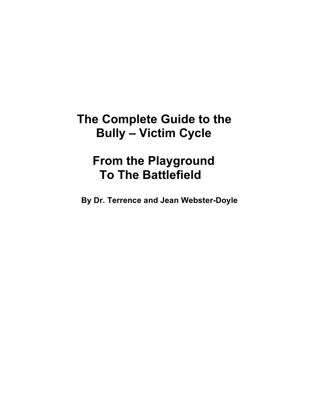## **The Complete Guide to the Bully – Victim Cycle**

## **From the Playground To The Battlefield**

**By Dr. Terrence and Jean Webster-Doyle**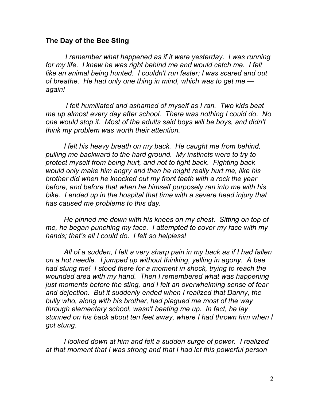## **The Day of the Bee Sting**

*I remember what happened as if it were yesterday. I was running for my life. I knew he was right behind me and would catch me. I felt like an animal being hunted. I couldn't run faster; I was scared and out of breathe. He had only one thing in mind, which was to get me again!*

*I felt humiliated and ashamed of myself as I ran. Two kids beat me up almost every day after school. There was nothing I could do. No one would stop it. Most of the adults said boys will be boys, and didn't think my problem was worth their attention.*

*I felt his heavy breath on my back. He caught me from behind, pulling me backward to the hard ground. My instincts were to try to protect myself from being hurt, and not to fight back. Fighting back would only make him angry and then he might really hurt me, like his brother did when he knocked out my front teeth with a rock the year before, and before that when he himself purposely ran into me with his bike. I ended up in the hospital that time with a severe head injury that has caused me problems to this day.*

*He pinned me down with his knees on my chest. Sitting on top of me, he began punching my face. I attempted to cover my face with my hands; that's all I could do. I felt so helpless!*

*All of a sudden, I felt a very sharp pain in my back as if I had fallen on a hot needle. I jumped up without thinking, yelling in agony. A bee had stung me! I stood there for a moment in shock, trying to reach the wounded area with my hand. Then I remembered what was happening just moments before the sting, and I felt an overwhelming sense of fear and dejection. But it suddenly ended when I realized that Danny, the bully who, along with his brother, had plagued me most of the way through elementary school, wasn't beating me up. In fact, he lay stunned on his back about ten feet away, where I had thrown him when I got stung.*

*I looked down at him and felt a sudden surge of power. I realized at that moment that I was strong and that I had let this powerful person*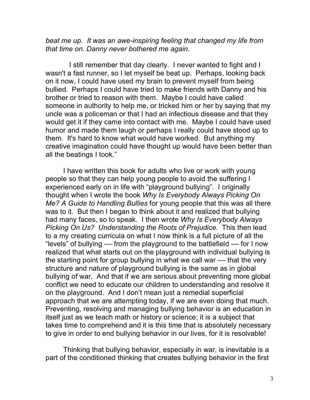*beat me up. It was an awe-inspiring feeling that changed my life from that time on. Danny never bothered me again.*

I still remember that day clearly. I never wanted to fight and I wasn't a fast runner, so I let myself be beat up. Perhaps, looking back on it now, I could have used my brain to prevent myself from being bullied. Perhaps I could have tried to make friends with Danny and his brother or tried to reason with them. Maybe I could have called someone in authority to help me, or tricked him or her by saying that my uncle was a policeman or that I had an infectious disease and that they would get it if they came into contact with me. Maybe I could have used humor and made them laugh or perhaps I really could have stood up to them. It's hard to know what would have worked. But anything my creative imagination could have thought up would have been better than all the beatings I took."

I have written this book for adults who live or work with young people so that they can help young people to avoid the suffering I experienced early on in life with "playground bullying". I originally thought when I wrote the book *Why Is Everybody Always Picking On Me? A Guide to Handling Bullies* for young people that this was all there was to it. But then I began to think about it and realized that bullying had many faces, so to speak. I then wrote *Why Is Everybody Always Picking On Us? Understanding the Roots of Prejudice*. This then lead to a my creating curricula on what I now think is a full picture of all the "levels" of bullying –– from the playground to the battlefield –– for I now realized that what starts out on the playground with individual bullying is the starting point for group bullying in what we call war –– that the very structure and nature of playground bullying is the same as in global bullying of war. And that if we are serious about preventing more global conflict we need to educate our children to understanding and resolve it on the playground. And I don't mean just a remedial superficial approach that we are attempting today, if we are even doing that much. Preventing, resolving and managing bullying behavior is an education in itself just as we teach math or history or science; it is a subject that takes time to comprehend and it is this time that is absolutely necessary to give in order to end bullying behavior in our lives, for it is resolvable!

Thinking that bullying behavior, especially in war, is inevitable is a part of the conditioned thinking that creates bullying behavior in the first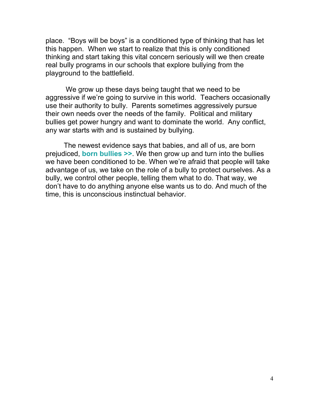place. "Boys will be boys" is a conditioned type of thinking that has let this happen. When we start to realize that this is only conditioned thinking and start taking this vital concern seriously will we then create real bully programs in our schools that explore bullying from the playground to the battlefield.

We grow up these days being taught that we need to be aggressive if we're going to survive in this world. Teachers occasionally use their authority to bully. Parents sometimes aggressively pursue their own needs over the needs of the family. Political and military bullies get power hungry and want to dominate the world. Any conflict, any war starts with and is sustained by bullying.

The newest evidence says that babies, and all of us, are born prejudiced, **[born bullies >>](http://prejudice.bravenewchild.org/)**. We then grow up and turn into the bullies we have been conditioned to be. When we're afraid that people will take advantage of us, we take on the role of a bully to protect ourselves. As a bully, we control other people, telling them what to do. That way, we don't have to do anything anyone else wants us to do. And much of the time, this is unconscious instinctual behavior.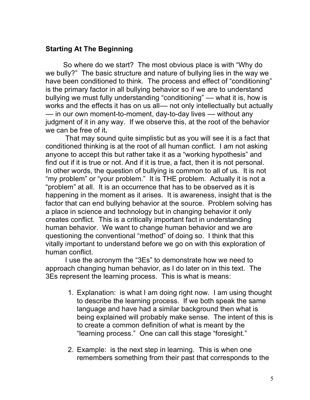## **Starting At The Beginning**

So where do we start? The most obvious place is with "Why do we bully?" The basic structure and nature of bullying lies in the way we have been conditioned to think. The process and effect of "conditioning" is the primary factor in all bullying behavior so if we are to understand bullying we must fully understanding "conditioning" –– what it is, how is works and the effects it has on us all— not only intellectually but actually –– in our own moment-to-moment, day-to-day lives –– without any judgment of it in any way. If we observe this, at the root of the behavior we can be free of it**.**

That may sound quite simplistic but as you will see it is a fact that conditioned thinking is at the root of all human conflict. I am not asking anyone to accept this but rather take it as a "working hypothesis" and find out if it is true or not. And if it is true, a fact, then it is not personal. In other words, the question of bullying is common to all of us. It is not "my problem" or "your problem." It is THE problem. Actually it is not a "problem" at all. It is an occurrence that has to be observed as it is happening in the moment as it arises. It is awareness, insight that is the factor that can end bullying behavior at the source. Problem solving has a place in science and technology but in changing behavior it only creates conflict. This is a critically important fact in understanding human behavior. We want to change human behavior and we are questioning the conventional "method" of doing so. I think that this vitally important to understand before we go on with this exploration of human conflict.

I use the acronym the "3Es" to demonstrate how we need to approach changing human behavior, as I do later on in this text. The 3Es represent the learning process. This is what is means:

- 1. Explanation: is what I am doing right now. I am using thought to describe the learning process. If we both speak the same language and have had a similar background then what is being explained will probably make sense. The intent of this is to create a common definition of what is meant by the "learning process." One can call this stage "foresight."
- 2. Example: is the next step in learning. This is when one remembers something from their past that corresponds to the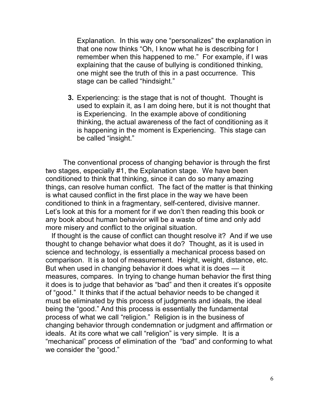Explanation. In this way one "personalizes" the explanation in that one now thinks "Oh, I know what he is describing for I remember when this happened to me." For example, if I was explaining that the cause of bullying is conditioned thinking, one might see the truth of this in a past occurrence. This stage can be called "hindsight."

**3.** Experiencing: is the stage that is not of thought. Thought is used to explain it, as I am doing here, but it is not thought that is Experiencing. In the example above of conditioning thinking, the actual awareness of the fact of conditioning as it is happening in the moment is Experiencing. This stage can be called "insight."

The conventional process of changing behavior is through the first two stages, especially #1, the Explanation stage. We have been conditioned to think that thinking, since it can do so many amazing things, can resolve human conflict. The fact of the matter is that thinking is what caused conflict in the first place in the way we have been conditioned to think in a fragmentary, self-centered, divisive manner. Let's look at this for a moment for if we don't then reading this book or any book about human behavior will be a waste of time and only add more misery and conflict to the original situation.

If thought is the cause of conflict can thought resolve it? And if we use thought to change behavior what does it do? Thought, as it is used in science and technology, is essentially a mechanical process based on comparison. It is a tool of measurement. Height, weight, distance, etc. But when used in changing behavior it does what it is does — it measures, compares. In trying to change human behavior the first thing it does is to judge that behavior as "bad" and then it creates it's opposite of "good." It thinks that if the actual behavior needs to be changed it must be eliminated by this process of judgments and ideals, the ideal being the "good." And this process is essentially the fundamental process of what we call "religion." Religion is in the business of changing behavior through condemnation or judgment and affirmation or ideals. At its core what we call "religion" is very simple. It is a "mechanical" process of elimination of the "bad" and conforming to what we consider the "good."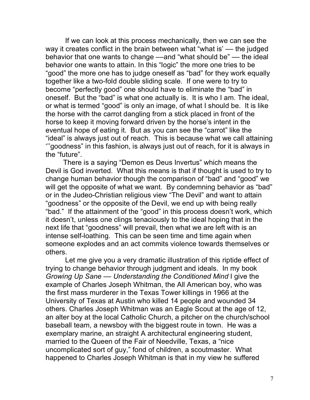If we can look at this process mechanically, then we can see the way it creates conflict in the brain between what "what is' -- the judged behavior that one wants to change —–and "what should be" — the ideal behavior one wants to attain. In this "logic" the more one tries to be "good" the more one has to judge oneself as "bad" for they work equally together like a two-fold double sliding scale. If one were to try to become "perfectly good" one should have to eliminate the "bad" in oneself. But the "bad" is what one actually is. It is who I am. The ideal, or what is termed "good" is only an image, of what I should be. It is like the horse with the carrot dangling from a stick placed in front of the horse to keep it moving forward driven by the horse's intent in the eventual hope of eating it. But as you can see the "carrot" like the "ideal" is always just out of reach. This is because what we call attaining '''goodness" in this fashion, is always just out of reach, for it is always in the "future".

There is a saying "Demon es Deus Invertus" which means the Devil is God inverted. What this means is that if thought is used to try to change human behavior though the comparison of "bad" and "good" we will get the opposite of what we want. By condemning behavior as "bad" or in the Judeo-Christian religious view "The Devil" and want to attain "goodness" or the opposite of the Devil, we end up with being really "bad." If the attainment of the "good" in this process doesn't work, which it doesn't, unless one clings tenaciously to the ideal hoping that in the next life that "goodness" will prevail, then what we are left with is an intense self-loathing. This can be seen time and time again when someone explodes and an act commits violence towards themselves or others.

Let me give you a very dramatic illustration of this riptide effect of trying to change behavior through judgment and ideals. In my book *Growing Up Sane –– Understanding the Conditioned Mind* I give the example of Charles Joseph Whitman, the All American boy, who was the first mass murderer in the Texas Tower killings in 1966 at the University of Texas at Austin who killed 14 people and wounded 34 others. Charles Joseph Whitman was an Eagle Scout at the age of 12, an alter boy at the local Catholic Church, a pitcher on the church/school baseball team, a newsboy with the biggest route in town. He was a exemplary marine, an straight A architectural engineering student, married to the Queen of the Fair of Needville, Texas, a "nice uncomplicated sort of guy," fond of children, a scoutmaster. What happened to Charles Joseph Whitman is that in my view he suffered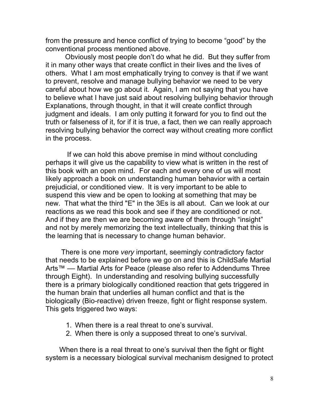from the pressure and hence conflict of trying to become "good" by the conventional process mentioned above.

Obviously most people don't do what he did. But they suffer from it in many other ways that create conflict in their lives and the lives of others. What I am most emphatically trying to convey is that if we want to prevent, resolve and manage bullying behavior we need to be very careful about how we go about it. Again, I am not saying that you have to believe what I have just said about resolving bullying behavior through Explanations, through thought, in that it will create conflict through judgment and ideals. I am only putting it forward for you to find out the truth or falseness of it, for if it is true, a fact, then we can really approach resolving bullying behavior the correct way without creating more conflict in the process.

If we can hold this above premise in mind without concluding perhaps it will give us the capability to view what is written in the rest of this book with an open mind. For each and every one of us will most likely approach a book on understanding human behavior with a certain prejudicial, or conditioned view. It is very important to be able to suspend this view and be open to looking at something that may be new. That what the third "E" in the 3Es is all about. Can we look at our reactions as we read this book and see if they are conditioned or not. And if they are then we are becoming aware of them through "insight" and not by merely memorizing the text intellectually, thinking that this is the learning that is necessary to change human behavior.

There is one more *very* important, seemingly contradictory factor that needs to be explained before we go on and this is ChildSafe Martial Arts™ –– Martial Arts for Peace (please also refer to Addendums Three through Eight). In understanding and resolving bullying successfully there is a primary biologically conditioned reaction that gets triggered in the human brain that underlies all human conflict and that is the biologically (Bio-reactive) driven freeze, fight or flight response system. This gets triggered two ways:

- 1. When there is a real threat to one's survival.
- 2. When there is only a supposed threat to one's survival.

When there is a real threat to one's survival then the fight or flight system is a necessary biological survival mechanism designed to protect